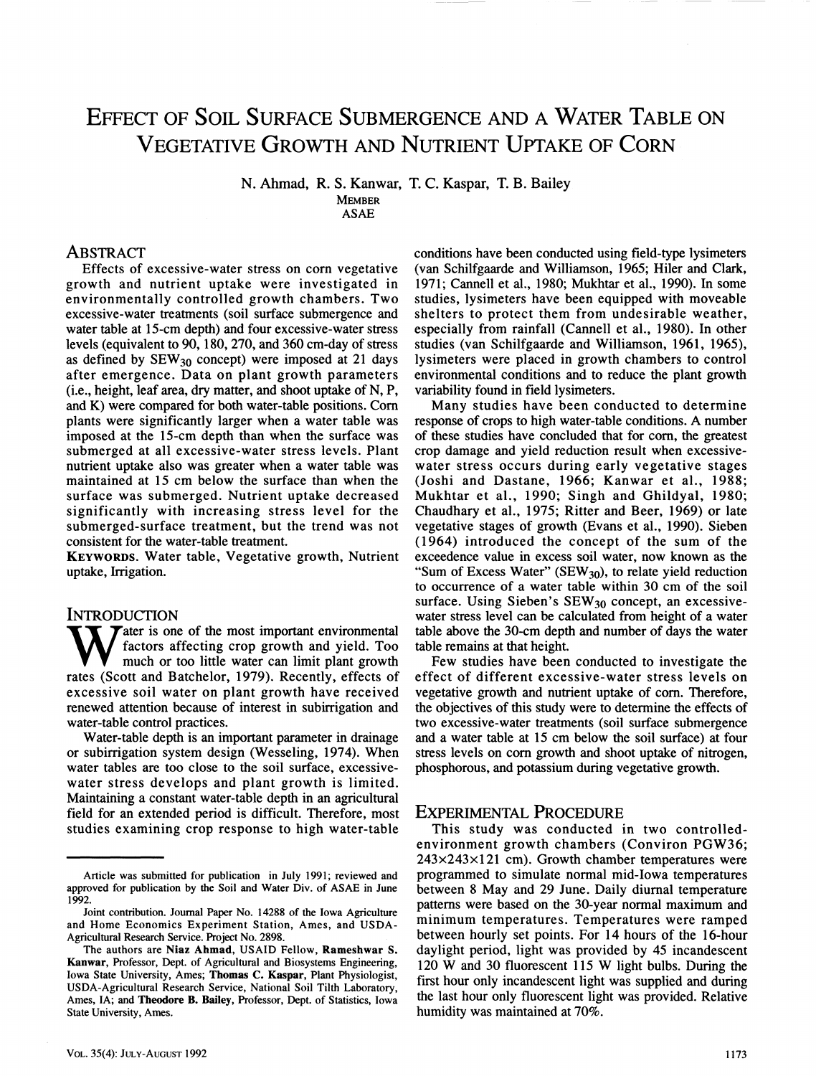# EFFECT OF SOIL SURFACE SUBMERGENCE AND A WATER TABLE ON VEGETATIVE GROWTH AND NUTRIENT UPTAKE OF CORN

**N. Ahmad, R. S. Kanwar, T. C. Kaspar, T. B. Bailey** 

**MEMBER ASAE** 

# ABSTRACT

**Effects of excessive-water stress on corn vegetative growth and nutrient uptake were investigated in environmentally controlled growth chambers. Two excessive-water treatments (soil surface submergence and water table at 15-cm depth) and four excessive-water stress levels (equivalent to 90,180, 270, and 360 cm-day of stress as defined by SEW30 concept) were imposed at 21 days after emergence. Data on plant growth parameters (i.e., height, leaf area, dry matter, and shoot uptake of N, P, and K) were compared for both water-table positions. Com plants were significantly larger when a water table was imposed at the 15-cm depth than when the surface was submerged at all excessive-water stress levels. Plant nutrient uptake also was greater when a water table was maintained at 15 cm below the surface than when the surface was submerged. Nutrient uptake decreased significantly with increasing stress level for the submerged-surface treatment, but the trend was not consistent for the water-table treatment.** 

**KEYWORDS. Water table. Vegetative growth. Nutrient uptake. Irrigation.** 

INTRODUCTION<br> **T** *T T* ater is one of the most important environmental **W** ater is one of the most important environmental factors affecting crop growth and yield. Too much or too little water can limit plant growth rates (Scott and Batchelor 1979) Recently effects of **factors affecting crop growth and yield. Too rates (Scott and Batchelor, 1979). Recently, effects of excessive soil water on plant growth have received renewed attention because of interest in subirrigation and water-table control practices.** 

**Water-table depth is an important parameter in drainage or subirrigation system design (Wesseling, 1974). When water tables are too close to the soil surface, excessivewater stress develops and plant growth is limited. Maintaining a constant water-table depth in an agricultural field for an extended period is difficult. Therefore, most studies examining crop response to high water-table** 

**conditions have been conducted using field-type lysimeters (van Schilfgaarde and Williamson, 1965; Hiler and Clark, 1971; Cannell et al., 1980; Mukhtar et al., 1990). In some studies, lysimeters have been equipped with moveable shelters to protect them from undesirable weather, especially from rainfall (Cannell et al., 1980). In other studies (van Schilfgaarde and Williamson, 1961, 1965), lysimeters were placed in growth chambers to control environmental conditions and to reduce the plant growth variability found in field lysimeters.** 

**Many studies have been conducted to determine response of crops to high water-table conditions. A number of these studies have concluded that for com, the greatest crop damage and yield reduction result when excessivewater stress occurs during early vegetative stages (Joshi and Dastane, 1966; Kanwar et al., 1988; Mukhtar et al., 1990; Singh and Ghildyal, 1980; Chaudhary et al., 1975; Ritter and Beer, 1969) or late vegetative stages of growth (Evans et al., 1990). Sieben (1964) introduced the concept of the sum of the exceedence value in excess soil water, now known as the**  "Sum of Excess Water" (SEW<sub>30</sub>), to relate yield reduction **to occurrence of a water table within 30 cm of the soil**  surface. Using Sieben's SEW<sub>30</sub> concept, an excessive**water stress level can be calculated from height of a water table above the 30-cm depth and number of days the water table remains at that height.** 

**Few studies have been conducted to investigate the effect of different excessive-water stress levels on vegetative growth and nutrient uptake of com. Therefore, the objectives of this study were to determine the effects of two excessive-water treatments (soil surface submergence and a water table at 15 cm below the soil surface) at four stress levels on com growth and shoot uptake of nitrogen, phosphorous, and potassium during vegetative growth.** 

# EXPERIMENTAL PROCEDURE

**This study was conducted in two controlledenvironment growth chambers (Conviron PGW36; 243x243x121 cm). Growth chamber temperatures were programmed to simulate normal mid-Iowa temperatures between 8 May and 29 June. Daily diurnal temperature pattems were based on the 30-year normal maximum and minimum temperatures. Temperatures were ramped between hourly set points. For 14 hours of the 16-hour daylight period, light was provided by 45 incandescent 120 W and 30 fluorescent 115 W light bulbs. During the first hour only incandescent light was supplied and during the last hour only fluorescent light was provided. Relative humidity was maintained at 70%.** 

Article was submitted for publication in July 1991; reviewed and approved for publication by the Soil and Water Div. of ASAE in June 1992.

Joint contribution. Journal Paper No. 14288 of the Iowa Agriculture and Home Economics Experiment Station, Ames, and USDA-Agricultural Research Service. Project No. 2898.

The authors are **Niaz Ahmad,** USAID Fellow, **Rameshwar S. Kanwar,** Professor, Dept. of Agricultural and Biosystems Engineering, Iowa State University, Ames; **Thomas C. Kaspar,** Plant Physiologist, USDA-Agricultural Research Service, National Soil Tilth Laboratory, Ames, lA; and **Theodore B. Bailey,** Professor, Dept. of Statistics, Iowa State University, Ames.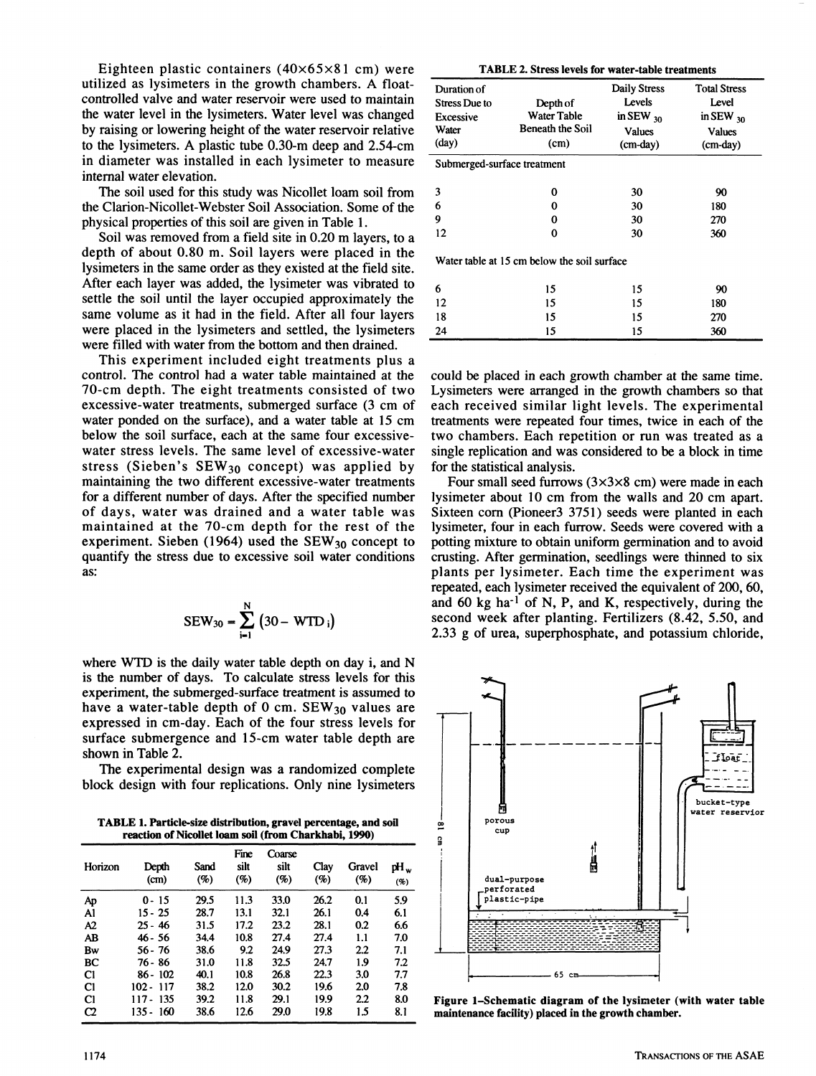**Eighteen plastic containers (40x65x81 cm) were utilized as lysimeters in the growth chambers. A floatcontrolled valve and water reservoir were used to maintain the water level in the lysimeters. Water level was changed by raising or lowering height of the water reservoir relative to the lysimeters. A plastic tube 0.30-m deep and 2.54-cm in diameter was installed in each lysimeter to measure internal water elevation.** 

**The soil used for this study was Nicollet loam soil from the Clarion-Nicollet-Webster Soil Association. Some of the physical properties of this soil are given in Table 1.** 

**Soil was removed from a field site in 0.20 m layers, to a depth of about 0.80 m. Soil layers were placed in the lysimeters in the same order as they existed at the field site. After each layer was added, the lysimeter was vibrated to settle the soil until the layer occupied approximately the same volume as it had in the field. After all four layers were placed in the lysimeters and settled, the lysimeters were filled with water from the bottom and then drained.** 

**This experiment included eight treatments plus a control. The control had a water table maintained at the 70-cm depth. The eight treatments consisted of two excessive-water treatments, submerged surface (3 cm of water ponded on the surface), and a water table at 15 cm below the soil surface, each at the same four excessivewater stress levels. The same level of excessive-water**  stress (Sieben's SEW<sub>30</sub> concept) was applied by **maintaining the two different excessive-water treatments for a different number of days. After the specified number of days, water was drained and a water table was maintained at the 70-cm depth for the rest of the**  experiment. Sieben (1964) used the SEW<sub>30</sub> concept to **quantify the stress due to excessive soil water conditions as:** 

$$
SEW_{30} = \sum_{i=1}^{N} (30 - WTD_i)
$$

**where WTD is the daily water table depth on day i, and N is the number of days. To calculate stress levels for this experiment, the submerged-surface treatment is assumed to**  have a water-table depth of 0 cm. SEW<sub>30</sub> values are **expressed in cm-day. Each of the four stress levels for surface submergence and 15-cm water table depth are shown in Table 2.** 

**The experimental design was a randomized complete block design with four replications. Only nine lysimeters** 

**TABLE 1. Particle-size distribution, gravel percentage, and sofl reaction of Nicollet loam soil (from Charkhabi, 1990)** 

| Horizon        | Depth<br>(cm)   | Sand<br>(%) | Fine<br>silt<br>$(\%)$ | Coarse<br>silt<br>(%) | Clay<br>(%) | Gravel<br>(%)    | pH.<br>$(\%)$ |
|----------------|-----------------|-------------|------------------------|-----------------------|-------------|------------------|---------------|
| Aр             | $0 - 15$        | 29.5        | 11.3                   | 33.0                  | 26.2        | 0.1              | 5.9           |
| A <sub>1</sub> | $15 - 25$       | 28.7        | 13.1                   | 32.1                  | 26.1        | 0.4              | 6.1           |
| A2             | $25 - 46$       | 31.5        | 17.2                   | 23.2                  | 28.1        | 0.2              | 6.6           |
| AB             | 46 - 56         | 34.4        | 10.8                   | 27.4                  | 27.4        | 1.1              | 7.0           |
| Bw             | $56 - 76$       | 38.6        | 9.2                    | 24.9                  | 27.3        | $2.2\phantom{0}$ | 7.1           |
| BC             | 76 - 86         | 31.0        | 11.8                   | 32.5                  | 24.7        | 1.9              | 7.2           |
| C1             | $86 - 102$      | 40.1        | 10.8                   | 26.8                  | 22.3        | 3.0              | 7.7           |
| C <sub>1</sub> | $102 - 117$     | 38.2        | 12.0                   | 30.2                  | 19.6        | 2.0              | 7.8           |
| C <sub>1</sub> | -135<br>$117 -$ | 39.2        | 11.8                   | 29.1                  | 19.9        | 2.2              | 8.0           |
| $\alpha$       | -160<br>$135 -$ | 38.6        | 12.6                   | 29.0                  | 19.8        | 1.5              | 8.1           |

| TABLE 2. Stress levels for water-table treatments                           |                                                            |                                                                |                                                                               |  |  |  |  |
|-----------------------------------------------------------------------------|------------------------------------------------------------|----------------------------------------------------------------|-------------------------------------------------------------------------------|--|--|--|--|
| Duration of<br><b>Stress Due to</b><br>Excessive<br>Water<br>$(\text{day})$ | Depth of<br><b>Water Table</b><br>Beneath the Soil<br>(cm) | Daily Stress<br>Levels<br>in SEW $_{30}$<br>Values<br>(cm-day) | <b>Total Stress</b><br>Level<br>in SEW $_{30}$<br><b>Values</b><br>$(cm-day)$ |  |  |  |  |
| Submerged-surface treatment                                                 |                                                            |                                                                |                                                                               |  |  |  |  |
| 3<br>6<br>9<br>12                                                           | 0<br>0<br>0<br>0                                           | 30<br>30<br>30<br>30                                           | 90<br>180<br>270<br>360                                                       |  |  |  |  |
|                                                                             | Water table at 15 cm below the soil surface                |                                                                |                                                                               |  |  |  |  |
| 6<br>12                                                                     | 15<br>15                                                   | 15<br>15                                                       | 90<br>180                                                                     |  |  |  |  |
| 18<br>24                                                                    | 15<br>15                                                   | 15<br>15                                                       | 270<br>360                                                                    |  |  |  |  |
|                                                                             |                                                            |                                                                |                                                                               |  |  |  |  |

**could be placed in each growth chamber at the same time. Lysimeters were arranged in the growth chambers so that each received similar light levels. The experimental treatments were repeated four times, twice in each of the two chambers. Each repetition or run was treated as a single replication and was considered to be a block in time for the statistical analysis.** 

**Four small seed furrows (3x3x8 cm) were made in each lysimeter about 10 cm from the walls and 20 cm apart. Sixteen com (Pioneer3 3751) seeds were planted in each lysimeter, four in each furrow. Seeds were covered with a potting mixture to obtain uniform germination and to avoid crusting. After germination, seedlings were thinned to six plants per lysimeter. Each time the experiment was repeated, each lysimeter received the equivalent of 200,60,**  and 60 kg ha<sup>-1</sup> of N, P, and K, respectively, during the **second week after planting. Fertilizers (8.42, 5.50, and 2.33 g of urea, superphosphate, and potassium chloride.** 



**Figure 1-Schematic diagram of the lysimeter (with water table maintenance facility) placed in the growth chamber.**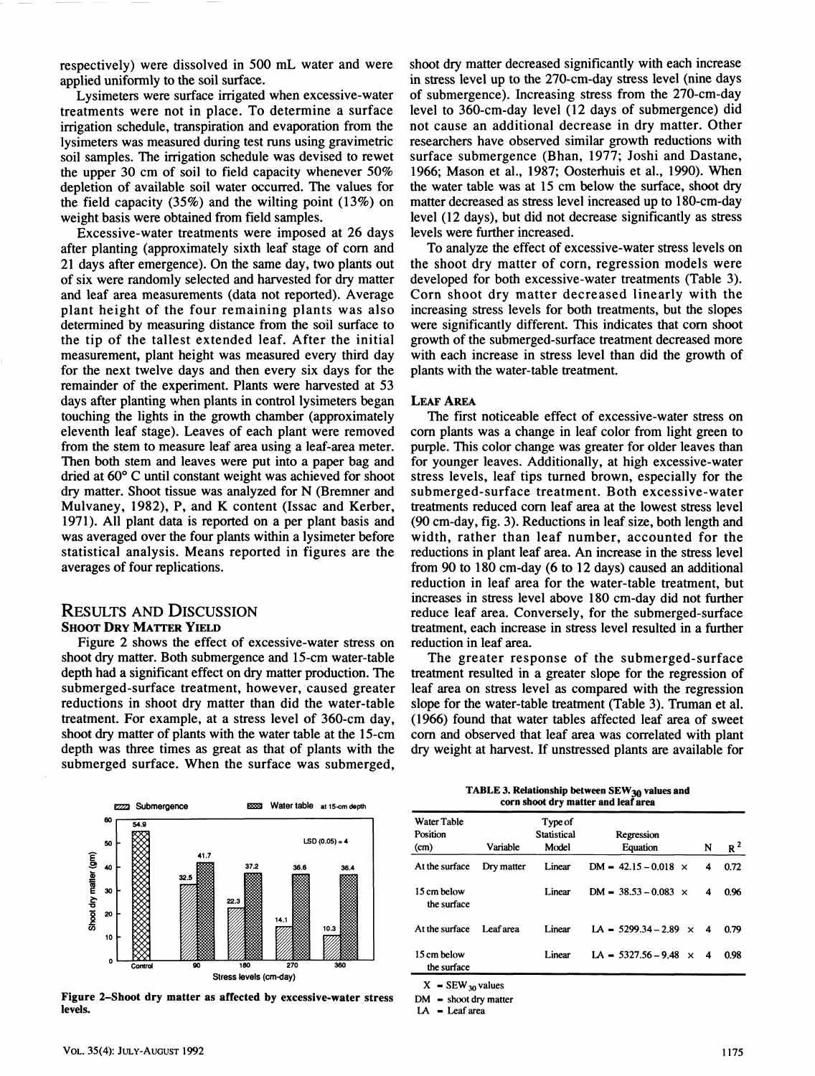respectively) were dissolved in 500 mL water and were applied uniformly to the soil surface.

Lysimeters were surface irrigated when excessive-water treatments were not in place. To determine a surface irrigation schedule, transpiration and evaporation from the lysimeters was measured during test runs using gravimetric soil samples. The irrigation schedule was devised to rewet the upper 30 cm of soil to field capacity whenever 50% depletion of available soil water occurred. The values for the field capacity (35%) and the wilting point (13%) on weight basis were obtained from field samples.

Excessive-water treatments were imposed at 26 days after planting (approximately sixth leaf stage of com and 21 days after emergence). On the same day, two plants out of six were randomly selected and harvested for dry matter and leaf area measurements (data not reported). Average plant height of the four remaining plants was also determined by measuring distance from the soil surface to the tip of the tallest extended leaf. After the initial measurement, plant height was measured every third day for the next twelve days and then every six days for the remainder of the experiment. Plants were harvested at 53 days after planting when plants in control lysimeters began touching the lights in the growth chamber (approximately eleventh leaf stage). Leaves of each plant were removed from the stem to measure leaf area using a leaf-area meter. Then both stem and leaves were put into a paper bag and dried at 60® C until constant weight was achieved for shoot dry matter. Shoot tissue was analyzed for N (Bremner and Mulvaney, 1982), P, and K content (Issac and Kerber, 1971). All plant data is reported on a per plant basis and was averaged over the four plants within a lysimeter before statistical analysis. Means reported in figures are the averages of four replications.

## RESULTS AND DISCUSSION SHOOT **DRY** MATTER **YIELD**

Figure 2 shows the effect of excessive-water stress on shoot dry matter. Both submergence and 15-cm water-table depth had a significant effect on dry matter production. The submerged-surface treatment, however, caused greater reductions in shoot dry matter than did the water-table treatment. For example, at a stress level of 360-cm day, shoot dry matter of plants with the water table at the 15-cm depth was three times as great as that of plants with the submerged surface. When the surface was submerged.

shoot dry matter decreased significantly with each increase in stress level up to the 270-cm-day stress level (nine days of submergence). Increasing stress from the 270-cm-day level to 360-cm-day level (12 days of submergence) did not cause an additional decrease in dry matter. Other researchers have observed similar growth reductions with surface submergence (Bhan, 1977; Joshi and Dastane, 1966; Mason et al., 1987; Oosterhuis et al., 1990). When the water table was at 15 cm below the surface, shoot dry matter decreased as stress level increased up to 180-cm-day level (12 days), but did not decrease significantly as stress levels were further increased.

To analyze the effect of excessive-water stress levels on the shoot dry matter of corn, regression models were developed for both excessive-water treatments (Table 3). Corn shoot dry matter decreased linearly with the increasing stress levels for both treatments, but the slopes were significantly different. This indicates that corn shoot growth of the submerged-surface treatment decreased more with each increase in stress level than did the growth of plants with the water-table treatment.

#### LEAF AREA

The first noticeable effect of excessive-water stress on com plants was a change in leaf color from light green to purple. This color change was greater for older leaves than for younger leaves. Additionally, at high excessive-water stress levels, leaf tips turned brown, especially for the submerged-surface treatment. Both excessive-water treatments reduced com leaf area at the lowest stress level (90 cm-day, fig. 3). Reductions in leaf size, both length and width, rather than leaf number, accounted for the reductions in plant leaf area. An increase in the stress level from 90 to 180 cm-day (6 to 12 days) caused an additional reduction in leaf area for the water-table treatment, but increases in stress level above 180 cm-day did not further reduce leaf area. Conversely, for the submerged-surface treatment, each increase in stress level resulted in a further reduction in leaf area.

The greater response of the submerged-surface treatment resulted in a greater slope for the regression of leaf area on stress level as compared with the regression slope for the water-table treatment (Table 3). Truman et al. (1966) found that water tables affected leaf area of sweet com and observed that leaf area was correlated with plant dry weight at harvest. If unstressed plants are available for



**Figure 2-Shoot dry matter as affected by excessive-water stress levels.** 

TABLE 3. Relationship between SEW<sub>30</sub> values and **corn shoot dry matter and leaf area** 

| <b>Water Table</b><br>Position<br>(cm) | Variable   | Type of<br><b>Statistical</b><br>Model | Regression<br>Equation       | N | $R^2$ |
|----------------------------------------|------------|----------------------------------------|------------------------------|---|-------|
| At the surface                         | Dry matter | Linear                                 | $DM = 42.15 - 0.018$ ×       | 4 | 0.72  |
| 15 cm below<br>the surface             |            | Linear                                 | $DM = 38.53 - 0.083$ ×       | 4 | 0.96  |
| At the surface                         | Leaf area  | Linear                                 | $LA = 5299.34 - 2.89 \times$ | 4 | 0.79  |
| 15 cm below<br>the surface             |            | Linear                                 | LA = $5327.56 - 9.48$ ×      | 4 | 0.98  |

 $X = \text{SEW}_{30}$  values

 $DM =$  shoot dry matter

 $LA$  = Leaf area